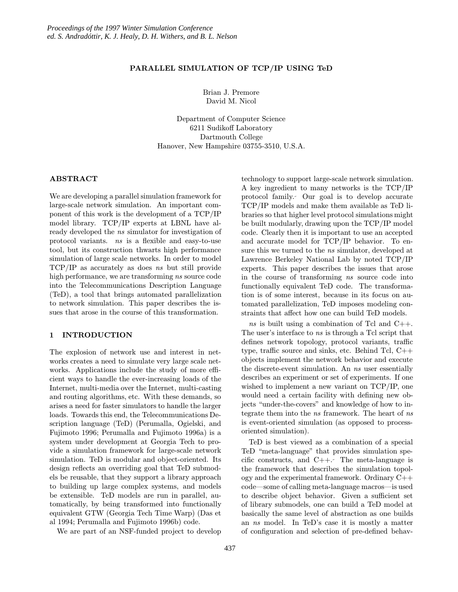## PARALLEL SIMULATION OF TCP/IP USING TeD

Brian J. Premore David M. Nicol

Department of Computer Science 6211 Sudikoff Laboratory Dartmouth College Hanover, New Hampshire 03755-3510, U.S.A.

## ABSTRACT

We are developing a parallel simulation framework for large-scale network simulation. An important component of this work is the development of a TCP/IP model library. TCP/IP experts at LBNL have already developed the ns simulator for investigation of protocol variants. ns is a flexible and easy-to-use tool, but its construction thwarts high performance simulation of large scale networks. In order to model TCP/IP as accurately as does ns but still provide high performance, we are transforming ns source code into the Telecommunications Description Language (TeD), a tool that brings automated parallelization to network simulation. This paper describes the issues that arose in the course of this transformation.

## 1 INTRODUCTION

The explosion of network use and interest in networks creates a need to simulate very large scale networks. Applications include the study of more efficient ways to handle the ever-increasing loads of the Internet, multi-media over the Internet, multi-casting and routing algorithms, etc. With these demands, so arises a need for faster simulators to handle the larger loads. Towards this end, the Telecommunications Description language (TeD) (Perumalla, Ogielski, and Fujimoto 1996; Perumalla and Fujimoto 1996a) is a system under development at Georgia Tech to provide a simulation framework for large-scale network simulation. TeD is modular and object-oriented. Its design reflects an overriding goal that TeD submodels be reusable, that they support a library approach to building up large complex systems, and models be extensible. TeD models are run in parallel, automatically, by being transformed into functionally equivalent GTW (Georgia Tech Time Warp) (Das et al 1994; Perumalla and Fujimoto 1996b) code.

We are part of an NSF-funded project to develop

technology to support large-scale network simulation. A key ingredient to many networks is the TCP/IP protocol family. Our goal is to develop accurate TCP/IP models and make them available as TeD libraries so that higher level protocol simulations might be built modularly, drawing upon the TCP/IP model code. Clearly then it is important to use an accepted and accurate model for TCP/IP behavior. To ensure this we turned to the ns simulator, developed at Lawrence Berkeley National Lab by noted TCP/IP experts. This paper describes the issues that arose in the course of transforming ns source code into functionally equivalent TeD code. The transformation is of some interest, because in its focus on automated parallelization, TeD imposes modeling constraints that affect how one can build TeD models.

ns is built using a combination of Tcl and  $C_{++}$ . The user's interface to ns is through a Tcl script that defines network topology, protocol variants, traffic type, traffic source and sinks, etc. Behind Tcl, C++ objects implement the network behavior and execute the discrete-event simulation. An ns user essentially describes an experiment or set of experiments. If one wished to implement a new variant on TCP/IP, one would need a certain facility with defining new objects "under-the-covers" and knowledge of how to integrate them into the *ns* framework. The heart of *ns* is event-oriented simulation (as opposed to processoriented simulation).

TeD is best viewed as a combination of a special TeD "meta-language" that provides simulation specific constructs, and  $C++$ . The meta-language is the framework that describes the simulation topology and the experimental framework. Ordinary C++ code—some of calling meta-language macros—is used to describe object behavior. Given a sufficient set of library submodels, one can build a TeD model at basically the same level of abstraction as one builds an ns model. In TeD's case it is mostly a matter of configuration and selection of pre-defined behav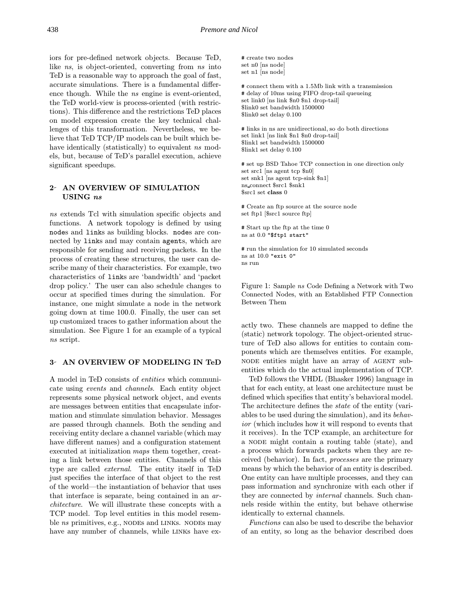iors for pre-defined network objects. Because TeD, like *ns*, is object-oriented, converting from *ns* into TeD is a reasonable way to approach the goal of fast, accurate simulations. There is a fundamental difference though. While the ns engine is event-oriented, the TeD world-view is process-oriented (with restrictions). This difference and the restrictions TeD places on model expression create the key technical challenges of this transformation. Nevertheless, we believe that TeD TCP/IP models can be built which behave identically (statistically) to equivalent ns models, but, because of TeD's parallel execution, achieve significant speedups.

## 2- AN OVERVIEW OF SIMULATION USING ns

ns extends Tcl with simulation specific objects and functions. A network topology is defined by using nodes and links as building blocks. nodes are connected by links and may contain agents, which are responsible for sending and receiving packets. In the process of creating these structures, the user can describe many of their characteristics. For example, two characteristics of links are 'bandwidth' and 'packet drop policy.' The user can also schedule changes to occur at specified times during the simulation. For instance, one might simulate a node in the network going down at time 100.0. Finally, the user can set up customized traces to gather information about the simulation. See Figure 1 for an example of a typical ns script.

## 3- AN OVERVIEW OF MODELING IN TeD

A model in TeD consists of entities which communicate using events and channels. Each entity object represents some physical network object, and events are messages between entities that encapsulate information and stimulate simulation behavior. Messages are passed through channels. Both the sending and receiving entity declare a channel variable (which may have different names) and a configuration statement executed at initialization maps them together, creating a link between those entities. Channels of this type are called external. The entity itself in TeD just specifies the interface of that object to the rest of the world—the instantiation of behavior that uses that interface is separate, being contained in an architecture. We will illustrate these concepts with a TCP model. Top level entities in this model resemble *ns* primitives, e.g., NODEs and LINKS. NODES may have any number of channels, while LINKs have ex# create two nodes set n0 [ns node] set n1 [ns node]

# connect them with a 1.5Mb link with a transmission # delay of 10ms using FIFO drop-tail queueing set link0 [ns link \$n0 \$n1 drop-tail] \$link0 set bandwidth 1500000 \$link0 set delay 0.100

# links in ns are unidirectional, so do both directions set link1 [ns link \$n1 \$n0 drop-tail] \$link1 set bandwidth 1500000 \$link1 set delay 0.100

# set up BSD Tahoe TCP connection in one direction only set src1 [ns agent tcp \$n0] set snk1 [ns agent tcp-sink \$n1] ns connect \$src1 \$snk1 \$src1 set class 0

# Create an ftp source at the source node set ftp1 [\$src1 source ftp]

# Start up the ftp at the time 0 ns at 0.0 "\$ftp1 start"

# run the simulation for 10 simulated seconds ns at 10.0 "exit 0" ns run

Figure 1: Sample ns Code Defining a Network with Two Connected Nodes, with an Established FTP Connection Between Them

actly two. These channels are mapped to define the (static) network topology. The object-oriented structure of TeD also allows for entities to contain components which are themselves entities. For example, NODE entities might have an array of AGENT subentities which do the actual implementation of TCP.

TeD follows the VHDL (Bhasker 1996) language in that for each entity, at least one architecture must be defined which specifies that entity's behavioral model. The architecture defines the state of the entity (variables to be used during the simulation), and its behavior (which includes how it will respond to events that it receives). In the TCP example, an architecture for a NODE might contain a routing table (state), and a process which forwards packets when they are received (behavior). In fact, processes are the primary means by which the behavior of an entity is described. One entity can have multiple processes, and they can pass information and synchronize with each other if they are connected by internal channels. Such channels reside within the entity, but behave otherwise identically to external channels.

Functions can also be used to describe the behavior of an entity, so long as the behavior described does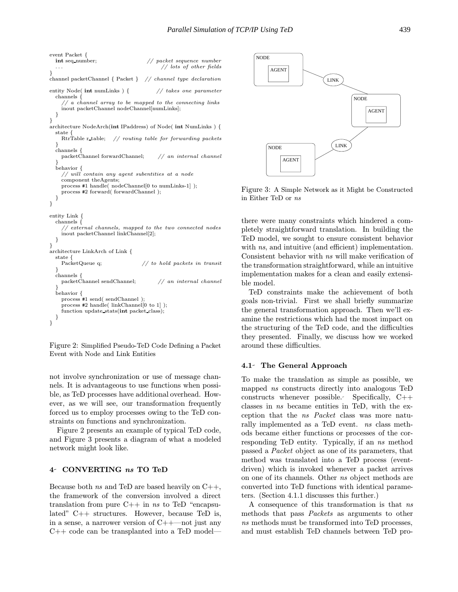```
event Packet {<br>int seq_number;
                                    // packet sequence number
                                         // lots of other fields
}
channel packetChannel { Packet } // channel type declaration
entity Node( int numLinks ) { // takes one parameter
  channels \cdot// a channel array to be mapped to the connecting linksinout packetChannel nodeChannel[numLinks];
  }
}
architecture NodeArch(int IPaddress) of Node( int NumLinks ) {
  state {
    RtrTable r table; // routing table for forwarding packets
  }
  channels {
    packetChannel forwardChannel; // an internal channel
  }
  behavior {
    // will contain any agent subentities at a node
    component theAgents;
    process #1 handle( nodeChannel[0 to numLinks-1] );
    process #2 forward( forwardChannel );
  }
}
entity Link {
  channels {
    // external channels, mapped to the two connected nodes
    inout packetChannel linkChannel[2];
  }
}
architecture LinkArch of Link {
  state {
                                  // to hold packets in transit
  }
channels {
    packetChannel sendChannel; // an internal channel
  }
  behavior {
    process #1 send( sendChannel );
    process #2 handle( linkChannel<sup>[0</sup> to 1] );
    function update stats(int packet class);
  }
}
```
Figure 2: Simplified Pseudo-TeD Code Defining a Packet Event with Node and Link Entities

not involve synchronization or use of message channels. It is advantageous to use functions when possible, as TeD processes have additional overhead. However, as we will see, our transformation frequently forced us to employ processes owing to the TeD constraints on functions and synchronization.

Figure 2 presents an example of typical TeD code, and Figure 3 presents a diagram of what a modeled network might look like.

## 4 CONVERTING ns TO TeD

Because both *ns* and TeD are based heavily on  $C_{++}$ , the framework of the conversion involved a direct translation from pure  $C++$  in ns to TeD "encapsulated" C++ structures. However, because TeD is, in a sense, a narrower version of C++—not just any  $C++$  code can be transplanted into a TeD model—



Figure 3: A Simple Network as it Might be Constructed in Either TeD or ns

there were many constraints which hindered a completely straightforward translation. In building the TeD model, we sought to ensure consistent behavior with *ns*, and intuitive (and efficient) implementation. Consistent behavior with ns will make verification of the transformation straightforward, while an intuitive implementation makes for a clean and easily extensible model.

TeD constraints make the achievement of both goals non-trivial. First we shall briefly summarize the general transformation approach. Then we'll examine the restrictions which had the most impact on the structuring of the TeD code, and the difficulties they presented. Finally, we discuss how we worked around these difficulties.

#### 4.1- The General Approach

To make the translation as simple as possible, we mapped ns constructs directly into analogous TeD constructs whenever possible. Specifically, C++ classes in ns became entities in TeD, with the exception that the ns Packet class was more naturally implemented as a TeD event. ns class methods became either functions or processes of the corresponding TeD entity. Typically, if an ns method passed a Packet object as one of its parameters, that method was translated into a TeD process (eventdriven) which is invoked whenever a packet arrives on one of its channels. Other ns object methods are converted into TeD functions with identical parameters. (Section 4.1.1 discusses this further.)

A consequence of this transformation is that ns methods that pass Packets as arguments to other ns methods must be transformed into TeD processes, and must establish TeD channels between TeD pro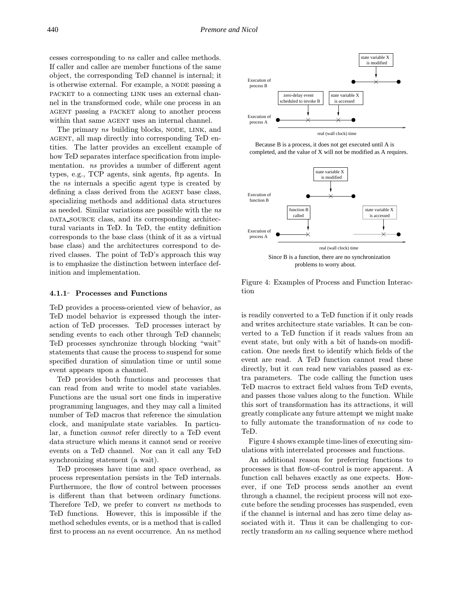cesses corresponding to ns caller and callee methods. If caller and callee are member functions of the same object, the corresponding TeD channel is internal; it is otherwise external. For example, a NODE passing a packet to a connecting link uses an external channel in the transformed code, while one process in an agent passing a packet along to another process within that same AGENT uses an internal channel.

The primary ns building blocks, NODE, LINK, and agent, all map directly into corresponding TeD entities. The latter provides an excellent example of how TeD separates interface specification from implementation. ns provides a number of different agent types, e.g., TCP agents, sink agents, ftp agents. In the ns internals a specific agent type is created by defining a class derived from the AGENT base class, specializing methods and additional data structures as needed. Similar variations are possible with the ns DATA\_SOURCE class, and its corresponding architectural variants in TeD. In TeD, the entity definition corresponds to the base class (think of it as a virtual base class) and the architectures correspond to derived classes. The point of TeD's approach this way is to emphasize the distinction between interface definition and implementation.

#### 4.1.1 Processes and Functions

TeD provides a process-oriented view of behavior, as TeD model behavior is expressed though the interaction of TeD processes. TeD processes interact by sending events to each other through TeD channels; TeD processes synchronize through blocking "wait" statements that cause the process to suspend for some specified duration of simulation time or until some event appears upon a channel.

TeD provides both functions and processes that can read from and write to model state variables. Functions are the usual sort one finds in imperative programming languages, and they may call a limited number of TeD macros that reference the simulation clock, and manipulate state variables. In particular, a function cannot refer directly to a TeD event data structure which means it cannot send or receive events on a TeD channel. Nor can it call any TeD synchronizing statement (a wait).

TeD processes have time and space overhead, as process representation persists in the TeD internals. Furthermore, the flow of control between processes is different than that between ordinary functions. Therefore TeD, we prefer to convert ns methods to TeD functions. However, this is impossible if the method schedules events, or is a method that is called first to process an ns event occurrence. An ns method



completed, and the value of X will not be modified as A requires. Because B is a process, it does not get executed until A is



Figure 4: Examples of Process and Function Interaction

is readily converted to a TeD function if it only reads and writes architecture state variables. It can be converted to a TeD function if it reads values from an event state, but only with a bit of hands-on modification. One needs first to identify which fields of the event are read. A TeD function cannot read these directly, but it *can* read new variables passed as extra parameters. The code calling the function uses TeD macros to extract field values from TeD events, and passes those values along to the function. While this sort of transformation has its attractions, it will greatly complicate any future attempt we might make to fully automate the transformation of ns code to TeD.

Figure 4 shows example time-lines of executing simulations with interrelated processes and functions.

An additional reason for preferring functions to processes is that flow-of-control is more apparent. A function call behaves exactly as one expects. However, if one TeD process sends another an event through a channel, the recipient process will not execute before the sending processes has suspended, even if the channel is internal and has zero time delay associated with it. Thus it can be challenging to correctly transform an ns calling sequence where method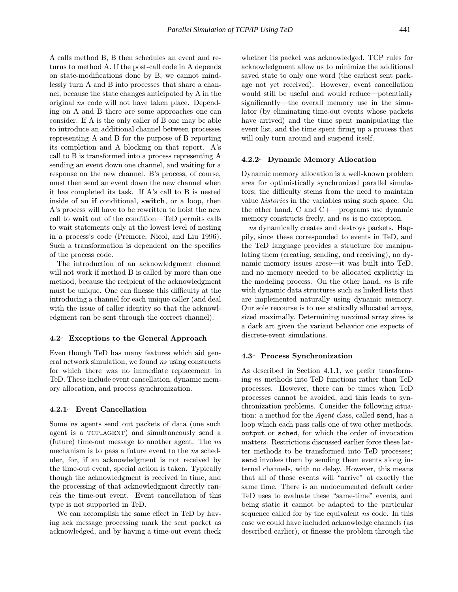A calls method B, B then schedules an event and returns to method A. If the post-call code in A depends on state-modifications done by B, we cannot mindlessly turn A and B into processes that share a channel, because the state changes anticipated by A in the original ns code will not have taken place. Depending on A and B there are some approaches one can consider. If A is the only caller of B one may be able to introduce an additional channel between processes representing A and B for the purpose of B reporting its completion and A blocking on that report. A's call to B is transformed into a process representing A sending an event down one channel, and waiting for a response on the new channel. B's process, of course, must then send an event down the new channel when it has completed its task. If A's call to B is nested inside of an if conditional, switch, or a loop, then A's process will have to be rewritten to hoist the new call to wait out of the condition—TeD permits calls to wait statements only at the lowest level of nesting in a process's code (Premore, Nicol, and Liu 1996). Such a transformation is dependent on the specifics of the process code.

The introduction of an acknowledgment channel will not work if method B is called by more than one method, because the recipient of the acknowledgment must be unique. One can finesse this difficulty at the introducing a channel for each unique caller (and deal with the issue of caller identity so that the acknowledgment can be sent through the correct channel).

#### 4.2 Exceptions to the General Approach

Even though TeD has many features which aid general network simulation, we found ns using constructs for which there was no immediate replacement in TeD. These include event cancellation, dynamic memory allocation, and process synchronization.

#### 4.2.1 Event Cancellation

Some ns agents send out packets of data (one such agent is a TCP\_AGENT) and simultaneously send a (future) time-out message to another agent. The ns mechanism is to pass a future event to the ns scheduler, for, if an acknowledgment is not received by the time-out event, special action is taken. Typically though the acknowledgment is received in time, and the processing of that acknowledgment directly cancels the time-out event. Event cancellation of this type is not supported in TeD.

We can accomplish the same effect in TeD by having ack message processing mark the sent packet as acknowledged, and by having a time-out event check whether its packet was acknowledged. TCP rules for acknowledgment allow us to minimize the additional saved state to only one word (the earliest sent package not yet received). However, event cancellation would still be useful and would reduce—potentially significantly—the overall memory use in the simulator (by eliminating time-out events whose packets have arrived) and the time spent manipulating the event list, and the time spent firing up a process that will only turn around and suspend itself.

#### 4.2.2 Dynamic Memory Allocation

Dynamic memory allocation is a well-known problem area for optimistically synchronized parallel simulators; the difficulty stems from the need to maintain value histories in the variables using such space. On the other hand, C and C++ programs use dynamic memory constructs freely, and *ns* is no exception.

ns dynamically creates and destroys packets. Happily, since these corresponded to events in TeD, and the TeD language provides a structure for manipulating them (creating, sending, and receiving), no dynamic memory issues arose—it was built into TeD, and no memory needed to be allocated explicitly in the modeling process. On the other hand, ns is rife with dynamic data structures such as linked lists that are implemented naturally using dynamic memory. Our sole recourse is to use statically allocated arrays, sized maximally. Determining maximal array sizes is a dark art given the variant behavior one expects of discrete-event simulations.

#### 4.3 Process Synchronization

As described in Section 4.1.1, we prefer transforming ns methods into TeD functions rather than TeD processes. However, there can be times when TeD processes cannot be avoided, and this leads to synchronization problems. Consider the following situation: a method for the Agent class, called send, has a loop which each pass calls one of two other methods, output or sched, for which the order of invocation matters. Restrictions discussed earlier force these latter methods to be transformed into TeD processes; send invokes them by sending them events along internal channels, with no delay. However, this means that all of those events will "arrive" at exactly the same time. There is an undocumented default order TeD uses to evaluate these "same-time" events, and being static it cannot be adapted to the particular sequence called for by the equivalent *ns* code. In this case we could have included acknowledge channels (as described earlier), or finesse the problem through the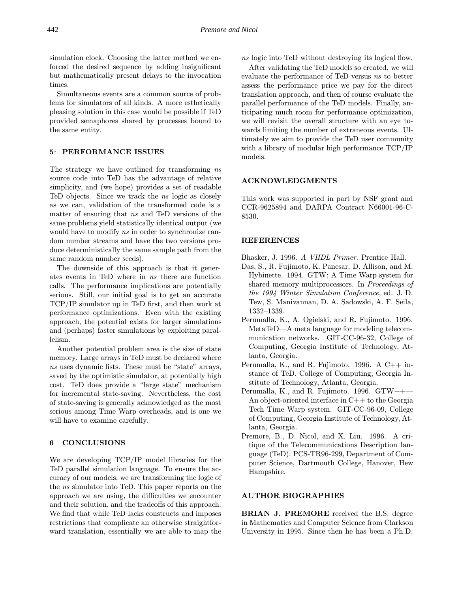simulation clock. Choosing the latter method we enforced the desired sequence by adding insignificant but mathematically present delays to the invocation times.

Simultaneous events are a common source of problems for simulators of all kinds. A more esthetically pleasing solution in this case would be possible if TeD provided semaphores shared by processes bound to the same entity.

# 5- PERFORMANCE ISSUES

The strategy we have outlined for transforming ns source code into TeD has the advantage of relative simplicity, and (we hope) provides a set of readable TeD objects. Since we track the ns logic as closely as we can, validation of the transformed code is a matter of ensuring that ns and TeD versions of the same problems yield statistically identical output (we would have to modify ns in order to synchronize random number streams and have the two versions produce deterministically the same sample path from the same random number seeds).

The downside of this approach is that it generates events in TeD where in ns there are function calls. The performance implications are potentially serious. Still, our initial goal is to get an accurate TCP/IP simulator up in TeD first, and then work at performance optimizations. Even with the existing approach, the potential exists for larger simulations and (perhaps) faster simulations by exploiting parallelism.

Another potential problem area is the size of state memory. Large arrays in TeD must be declared where ns uses dynamic lists. These must be "state" arrays, saved by the optimistic simulator, at potentially high cost. TeD does provide a "large state" mechanism for incremental state-saving. Nevertheless, the cost of state-saving is generally acknowledged as the most serious among Time Warp overheads, and is one we will have to examine carefully.

## 6 CONCLUSIONS

We are developing TCP/IP model libraries for the TeD parallel simulation language. To ensure the accuracy of our models, we are transforming the logic of the ns simulator into TeD. This paper reports on the approach we are using, the difficulties we encounter and their solution, and the tradeoffs of this approach. We find that while TeD lacks constructs and imposes restrictions that complicate an otherwise straightforward translation, essentially we are able to map the

ns logic into TeD without destroying its logical flow.

After validating the TeD models so created, we will evaluate the performance of TeD versus ns to better assess the performance price we pay for the direct translation approach, and then of course evaluate the parallel performance of the TeD models. Finally, anticipating much room for performance optimization, we will revisit the overall structure with an eye towards limiting the number of extraneous events. Ultimately we aim to provide the TeD user community with a library of modular high performance TCP/IP models.

## ACKNOWLEDGMENTS

This work was supported in part by NSF grant and CCR-9625894 and DARPA Contract N66001-96-C-8530.

#### REFERENCES

Bhasker, J. 1996. A VHDL Primer. Prentice Hall.

- Das, S., R. Fujimoto, K. Panesar, D. Allison, and M. Hybinette. 1994. GTW: A Time Warp system for shared memory multiprocessors. In Proceedings of the 1994 Winter Simulation Conference, ed. J. D. Tew, S. Manivannan, D. A. Sadowski, A. F. Seila, 1332–1339.
- Perumalla, K., A. Ogielski, and R. Fujimoto. 1996. MetaTeD—A meta language for modeling telecommunication networks. GIT-CC-96-32, College of Computing, Georgia Institute of Technology, Atlanta, Georgia.
- Perumalla, K., and R. Fujimoto. 1996. A  $C++$  instance of TeD. College of Computing, Georgia Institute of Technology, Atlanta, Georgia.
- Perumalla, K., and R. Fujimoto. 1996. GTW++— An object-oriented interface in C++ to the Georgia Tech Time Warp system. GIT-CC-96-09, College of Computing, Georgia Institute of Technology, Atlanta, Georgia.
- Premore, B., D. Nicol, and X. Liu. 1996. A critique of the Telecommunications Description language (TeD). PCS-TR96-299, Department of Computer Science, Dartmouth College, Hanover, Hew Hampshire.

#### AUTHOR BIOGRAPHIES

BRIAN J. PREMORE received the B.S. degree in Mathematics and Computer Science from Clarkson University in 1995. Since then he has been a Ph.D.